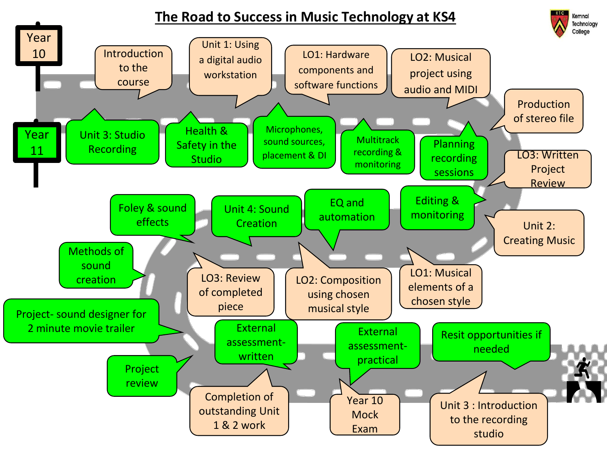## **The Road to Success in Music Technology at KS4**